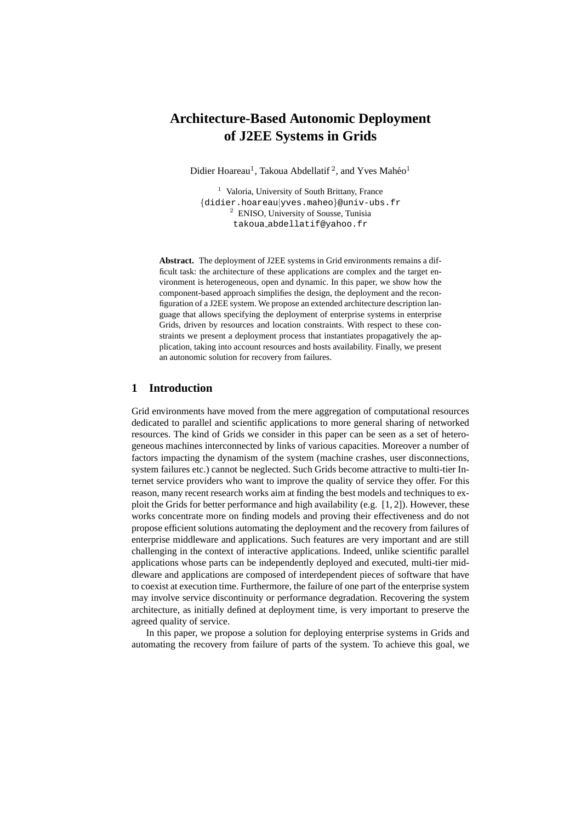# **Architecture-Based Autonomic Deployment of J2EE Systems in Grids**

Didier Hoareau<sup>1</sup>, Takoua Abdellatif<sup>2</sup>, and Yves Mahéo<sup>1</sup>

<sup>1</sup> Valoria, University of South Brittany, France {didier.hoareau|yves.maheo}@univ-ubs.fr <sup>2</sup> ENISO, University of Sousse, Tunisia takoua abdellatif@yahoo.fr

**Abstract.** The deployment of J2EE systems in Grid environments remains a difficult task: the architecture of these applications are complex and the target environment is heterogeneous, open and dynamic. In this paper, we show how the component-based approach simplifies the design, the deployment and the reconfiguration of a J2EE system. We propose an extended architecture description language that allows specifying the deployment of enterprise systems in enterprise Grids, driven by resources and location constraints. With respect to these constraints we present a deployment process that instantiates propagatively the application, taking into account resources and hosts availability. Finally, we present an autonomic solution for recovery from failures.

# **1 Introduction**

Grid environments have moved from the mere aggregation of computational resources dedicated to parallel and scientific applications to more general sharing of networked resources. The kind of Grids we consider in this paper can be seen as a set of heterogeneous machines interconnected by links of various capacities. Moreover a number of factors impacting the dynamism of the system (machine crashes, user disconnections, system failures etc.) cannot be neglected. Such Grids become attractive to multi-tier Internet service providers who want to improve the quality of service they offer. For this reason, many recent research works aim at finding the best models and techniques to exploit the Grids for better performance and high availability (e.g.  $[1, 2]$ ). However, these works concentrate more on finding models and proving their effectiveness and do not propose efficient solutions automating the deployment and the recovery from failures of enterprise middleware and applications. Such features are very important and are still challenging in the context of interactive applications. Indeed, unlike scientific parallel applications whose parts can be independently deployed and executed, multi-tier middleware and applications are composed of interdependent pieces of software that have to coexist at execution time. Furthermore, the failure of one part of the enterprise system may involve service discontinuity or performance degradation. Recovering the system architecture, as initially defined at deployment time, is very important to preserve the agreed quality of service.

In this paper, we propose a solution for deploying enterprise systems in Grids and automating the recovery from failure of parts of the system. To achieve this goal, we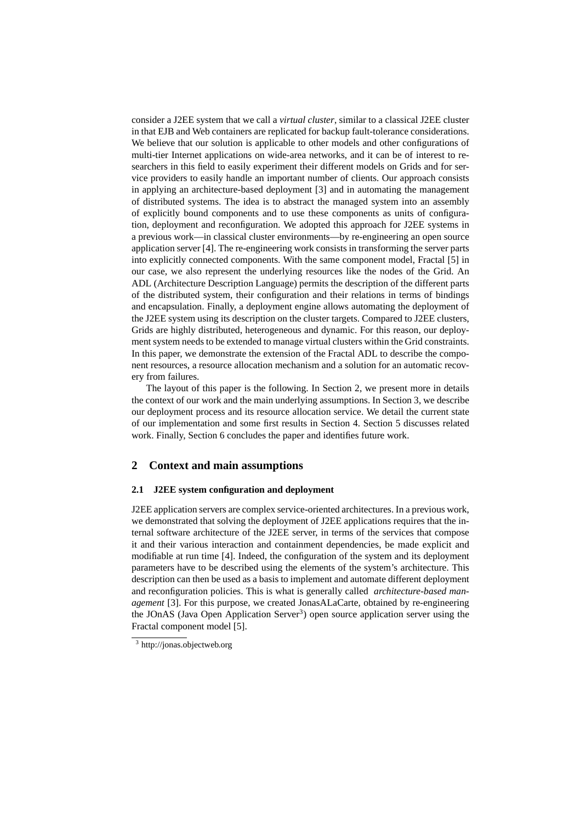consider a J2EE system that we call a *virtual cluster*, similar to a classical J2EE cluster in that EJB and Web containers are replicated for backup fault-tolerance considerations. We believe that our solution is applicable to other models and other configurations of multi-tier Internet applications on wide-area networks, and it can be of interest to researchers in this field to easily experiment their different models on Grids and for service providers to easily handle an important number of clients. Our approach consists in applying an architecture-based deployment [3] and in automating the management of distributed systems. The idea is to abstract the managed system into an assembly of explicitly bound components and to use these components as units of configuration, deployment and reconfiguration. We adopted this approach for J2EE systems in a previous work—in classical cluster environments—by re-engineering an open source application server [4]. The re-engineering work consists in transforming the server parts into explicitly connected components. With the same component model, Fractal [5] in our case, we also represent the underlying resources like the nodes of the Grid. An ADL (Architecture Description Language) permits the description of the different parts of the distributed system, their configuration and their relations in terms of bindings and encapsulation. Finally, a deployment engine allows automating the deployment of the J2EE system using its description on the cluster targets. Compared to J2EE clusters, Grids are highly distributed, heterogeneous and dynamic. For this reason, our deployment system needs to be extended to manage virtual clusters within the Grid constraints. In this paper, we demonstrate the extension of the Fractal ADL to describe the component resources, a resource allocation mechanism and a solution for an automatic recovery from failures.

The layout of this paper is the following. In Section 2, we present more in details the context of our work and the main underlying assumptions. In Section 3, we describe our deployment process and its resource allocation service. We detail the current state of our implementation and some first results in Section 4. Section 5 discusses related work. Finally, Section 6 concludes the paper and identifies future work.

### **2 Context and main assumptions**

### **2.1 J2EE system configuration and deployment**

J2EE application servers are complex service-oriented architectures. In a previous work, we demonstrated that solving the deployment of J2EE applications requires that the internal software architecture of the J2EE server, in terms of the services that compose it and their various interaction and containment dependencies, be made explicit and modifiable at run time [4]. Indeed, the configuration of the system and its deployment parameters have to be described using the elements of the system's architecture. This description can then be used as a basis to implement and automate different deployment and reconfiguration policies. This is what is generally called *architecture-based management* [3]. For this purpose, we created JonasALaCarte, obtained by re-engineering the JOnAS (Java Open Application Server<sup>3</sup>) open source application server using the Fractal component model [5].

<sup>3</sup> http://jonas.objectweb.org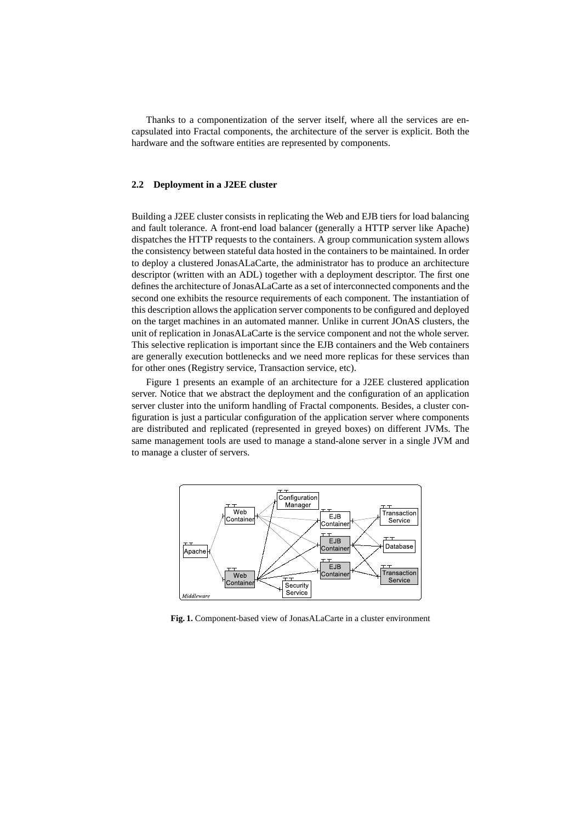Thanks to a componentization of the server itself, where all the services are encapsulated into Fractal components, the architecture of the server is explicit. Both the hardware and the software entities are represented by components.

### **2.2 Deployment in a J2EE cluster**

Building a J2EE cluster consists in replicating the Web and EJB tiers for load balancing and fault tolerance. A front-end load balancer (generally a HTTP server like Apache) dispatches the HTTP requests to the containers. A group communication system allows the consistency between stateful data hosted in the containers to be maintained. In order to deploy a clustered JonasALaCarte, the administrator has to produce an architecture descriptor (written with an ADL) together with a deployment descriptor. The first one defines the architecture of JonasALaCarte as a set of interconnected components and the second one exhibits the resource requirements of each component. The instantiation of this description allows the application server components to be configured and deployed on the target machines in an automated manner. Unlike in current JOnAS clusters, the unit of replication in JonasALaCarte is the service component and not the whole server. This selective replication is important since the EJB containers and the Web containers are generally execution bottlenecks and we need more replicas for these services than for other ones (Registry service, Transaction service, etc).

Figure 1 presents an example of an architecture for a J2EE clustered application server. Notice that we abstract the deployment and the configuration of an application server cluster into the uniform handling of Fractal components. Besides, a cluster configuration is just a particular configuration of the application server where components are distributed and replicated (represented in greyed boxes) on different JVMs. The same management tools are used to manage a stand-alone server in a single JVM and to manage a cluster of servers.



**Fig. 1.** Component-based view of JonasALaCarte in a cluster environment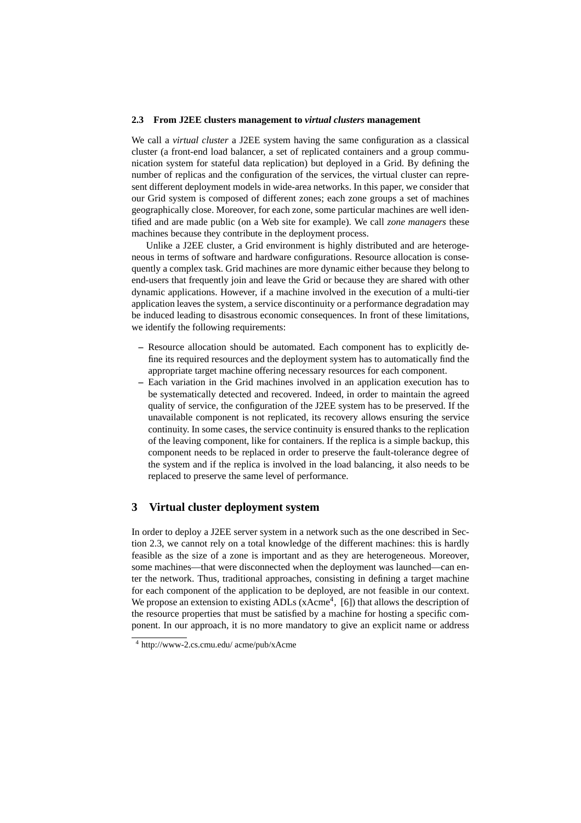#### **2.3 From J2EE clusters management to** *virtual clusters* **management**

We call a *virtual cluster* a J2EE system having the same configuration as a classical cluster (a front-end load balancer, a set of replicated containers and a group communication system for stateful data replication) but deployed in a Grid. By defining the number of replicas and the configuration of the services, the virtual cluster can represent different deployment models in wide-area networks. In this paper, we consider that our Grid system is composed of different zones; each zone groups a set of machines geographically close. Moreover, for each zone, some particular machines are well identified and are made public (on a Web site for example). We call *zone managers* these machines because they contribute in the deployment process.

Unlike a J2EE cluster, a Grid environment is highly distributed and are heterogeneous in terms of software and hardware configurations. Resource allocation is consequently a complex task. Grid machines are more dynamic either because they belong to end-users that frequently join and leave the Grid or because they are shared with other dynamic applications. However, if a machine involved in the execution of a multi-tier application leaves the system, a service discontinuity or a performance degradation may be induced leading to disastrous economic consequences. In front of these limitations, we identify the following requirements:

- **–** Resource allocation should be automated. Each component has to explicitly define its required resources and the deployment system has to automatically find the appropriate target machine offering necessary resources for each component.
- **–** Each variation in the Grid machines involved in an application execution has to be systematically detected and recovered. Indeed, in order to maintain the agreed quality of service, the configuration of the J2EE system has to be preserved. If the unavailable component is not replicated, its recovery allows ensuring the service continuity. In some cases, the service continuity is ensured thanks to the replication of the leaving component, like for containers. If the replica is a simple backup, this component needs to be replaced in order to preserve the fault-tolerance degree of the system and if the replica is involved in the load balancing, it also needs to be replaced to preserve the same level of performance.

# **3 Virtual cluster deployment system**

In order to deploy a J2EE server system in a network such as the one described in Section 2.3, we cannot rely on a total knowledge of the different machines: this is hardly feasible as the size of a zone is important and as they are heterogeneous. Moreover, some machines—that were disconnected when the deployment was launched—can enter the network. Thus, traditional approaches, consisting in defining a target machine for each component of the application to be deployed, are not feasible in our context. We propose an extension to existing  $ADLs$  (x $Acme<sup>4</sup>$ , [6]) that allows the description of the resource properties that must be satisfied by a machine for hosting a specific component. In our approach, it is no more mandatory to give an explicit name or address

<sup>4</sup> http://www-2.cs.cmu.edu/ acme/pub/xAcme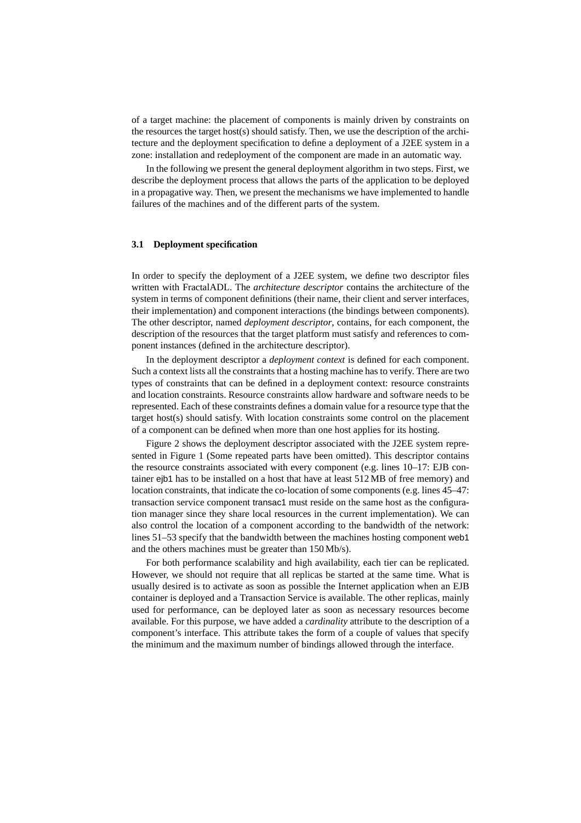of a target machine: the placement of components is mainly driven by constraints on the resources the target host(s) should satisfy. Then, we use the description of the architecture and the deployment specification to define a deployment of a J2EE system in a zone: installation and redeployment of the component are made in an automatic way.

In the following we present the general deployment algorithm in two steps. First, we describe the deployment process that allows the parts of the application to be deployed in a propagative way. Then, we present the mechanisms we have implemented to handle failures of the machines and of the different parts of the system.

### **3.1 Deployment specification**

In order to specify the deployment of a J2EE system, we define two descriptor files written with FractalADL. The *architecture descriptor* contains the architecture of the system in terms of component definitions (their name, their client and server interfaces, their implementation) and component interactions (the bindings between components). The other descriptor, named *deployment descriptor*, contains, for each component, the description of the resources that the target platform must satisfy and references to component instances (defined in the architecture descriptor).

In the deployment descriptor a *deployment context* is defined for each component. Such a context lists all the constraints that a hosting machine has to verify. There are two types of constraints that can be defined in a deployment context: resource constraints and location constraints. Resource constraints allow hardware and software needs to be represented. Each of these constraints defines a domain value for a resource type that the target host(s) should satisfy. With location constraints some control on the placement of a component can be defined when more than one host applies for its hosting.

Figure 2 shows the deployment descriptor associated with the J2EE system represented in Figure 1 (Some repeated parts have been omitted). This descriptor contains the resource constraints associated with every component (e.g. lines 10–17: EJB container ejb1 has to be installed on a host that have at least 512 MB of free memory) and location constraints, that indicate the co-location of some components (e.g. lines 45–47: transaction service component transac1 must reside on the same host as the configuration manager since they share local resources in the current implementation). We can also control the location of a component according to the bandwidth of the network: lines 51–53 specify that the bandwidth between the machines hosting component web1 and the others machines must be greater than 150 Mb/s).

For both performance scalability and high availability, each tier can be replicated. However, we should not require that all replicas be started at the same time. What is usually desired is to activate as soon as possible the Internet application when an EJB container is deployed and a Transaction Service is available. The other replicas, mainly used for performance, can be deployed later as soon as necessary resources become available. For this purpose, we have added a *cardinality* attribute to the description of a component's interface. This attribute takes the form of a couple of values that specify the minimum and the maximum number of bindings allowed through the interface.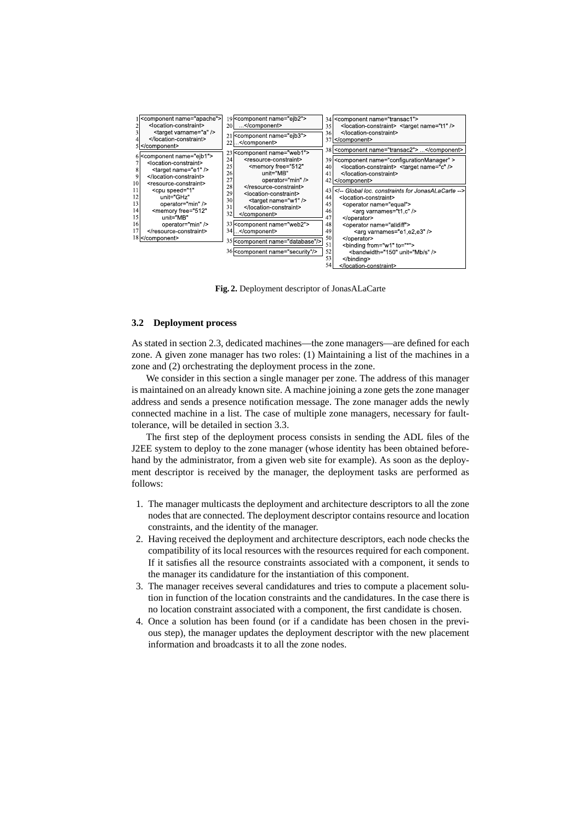

**Fig. 2.** Deployment descriptor of JonasALaCarte

#### **3.2 Deployment process**

As stated in section 2.3, dedicated machines—the zone managers—are defined for each zone. A given zone manager has two roles: (1) Maintaining a list of the machines in a zone and (2) orchestrating the deployment process in the zone.

We consider in this section a single manager per zone. The address of this manager is maintained on an already known site. A machine joining a zone gets the zone manager address and sends a presence notification message. The zone manager adds the newly connected machine in a list. The case of multiple zone managers, necessary for faulttolerance, will be detailed in section 3.3.

The first step of the deployment process consists in sending the ADL files of the J2EE system to deploy to the zone manager (whose identity has been obtained beforehand by the administrator, from a given web site for example). As soon as the deployment descriptor is received by the manager, the deployment tasks are performed as follows:

- 1. The manager multicasts the deployment and architecture descriptors to all the zone nodes that are connected. The deployment descriptor contains resource and location constraints, and the identity of the manager.
- 2. Having received the deployment and architecture descriptors, each node checks the compatibility of its local resources with the resources required for each component. If it satisfies all the resource constraints associated with a component, it sends to the manager its candidature for the instantiation of this component.
- 3. The manager receives several candidatures and tries to compute a placement solution in function of the location constraints and the candidatures. In the case there is no location constraint associated with a component, the first candidate is chosen.
- 4. Once a solution has been found (or if a candidate has been chosen in the previous step), the manager updates the deployment descriptor with the new placement information and broadcasts it to all the zone nodes.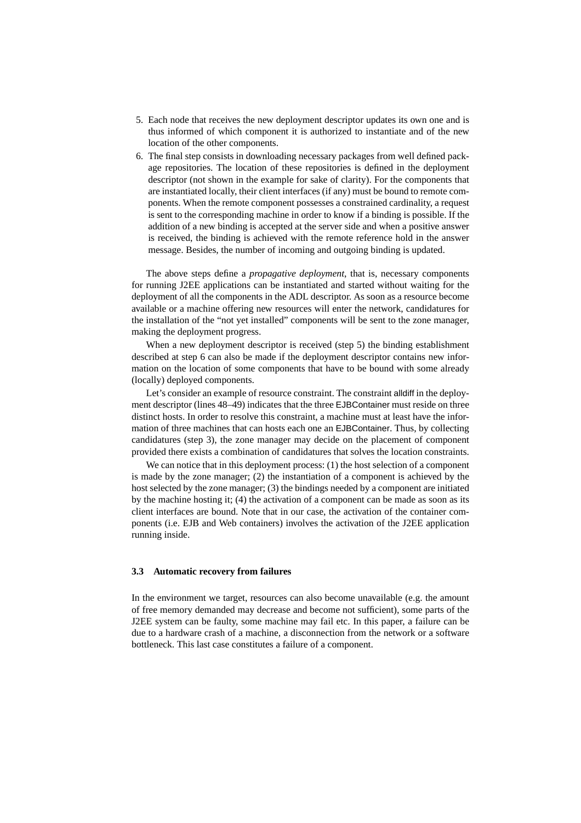- 5. Each node that receives the new deployment descriptor updates its own one and is thus informed of which component it is authorized to instantiate and of the new location of the other components.
- 6. The final step consists in downloading necessary packages from well defined package repositories. The location of these repositories is defined in the deployment descriptor (not shown in the example for sake of clarity). For the components that are instantiated locally, their client interfaces (if any) must be bound to remote components. When the remote component possesses a constrained cardinality, a request is sent to the corresponding machine in order to know if a binding is possible. If the addition of a new binding is accepted at the server side and when a positive answer is received, the binding is achieved with the remote reference hold in the answer message. Besides, the number of incoming and outgoing binding is updated.

The above steps define a *propagative deployment*, that is, necessary components for running J2EE applications can be instantiated and started without waiting for the deployment of all the components in the ADL descriptor. As soon as a resource become available or a machine offering new resources will enter the network, candidatures for the installation of the "not yet installed" components will be sent to the zone manager, making the deployment progress.

When a new deployment descriptor is received (step 5) the binding establishment described at step 6 can also be made if the deployment descriptor contains new information on the location of some components that have to be bound with some already (locally) deployed components.

Let's consider an example of resource constraint. The constraint alldiff in the deployment descriptor (lines 48–49) indicates that the three EJBContainer must reside on three distinct hosts. In order to resolve this constraint, a machine must at least have the information of three machines that can hosts each one an EJBContainer. Thus, by collecting candidatures (step 3), the zone manager may decide on the placement of component provided there exists a combination of candidatures that solves the location constraints.

We can notice that in this deployment process: (1) the host selection of a component is made by the zone manager; (2) the instantiation of a component is achieved by the host selected by the zone manager; (3) the bindings needed by a component are initiated by the machine hosting it; (4) the activation of a component can be made as soon as its client interfaces are bound. Note that in our case, the activation of the container components (i.e. EJB and Web containers) involves the activation of the J2EE application running inside.

### **3.3 Automatic recovery from failures**

In the environment we target, resources can also become unavailable (e.g. the amount of free memory demanded may decrease and become not sufficient), some parts of the J2EE system can be faulty, some machine may fail etc. In this paper, a failure can be due to a hardware crash of a machine, a disconnection from the network or a software bottleneck. This last case constitutes a failure of a component.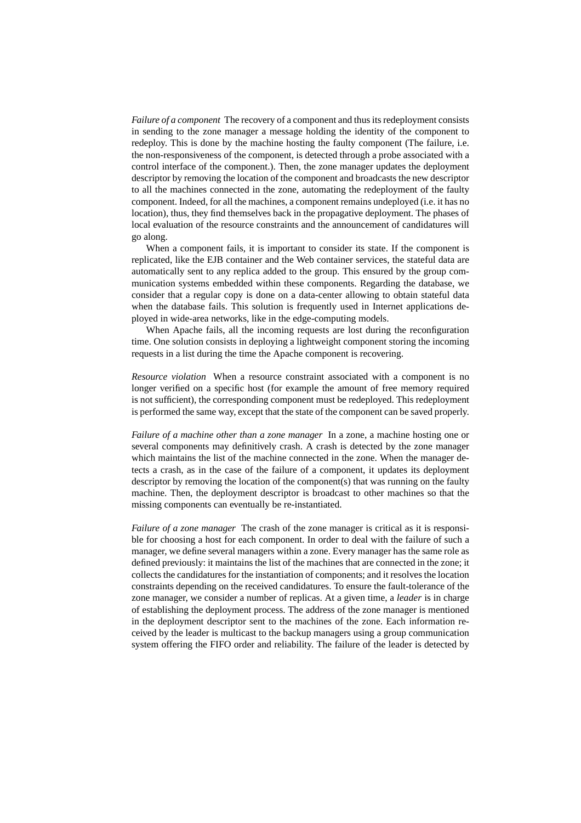*Failure of a component* The recovery of a component and thus its redeployment consists in sending to the zone manager a message holding the identity of the component to redeploy. This is done by the machine hosting the faulty component (The failure, i.e. the non-responsiveness of the component, is detected through a probe associated with a control interface of the component.). Then, the zone manager updates the deployment descriptor by removing the location of the component and broadcasts the new descriptor to all the machines connected in the zone, automating the redeployment of the faulty component. Indeed, for all the machines, a component remains undeployed (i.e. it has no location), thus, they find themselves back in the propagative deployment. The phases of local evaluation of the resource constraints and the announcement of candidatures will go along.

When a component fails, it is important to consider its state. If the component is replicated, like the EJB container and the Web container services, the stateful data are automatically sent to any replica added to the group. This ensured by the group communication systems embedded within these components. Regarding the database, we consider that a regular copy is done on a data-center allowing to obtain stateful data when the database fails. This solution is frequently used in Internet applications deployed in wide-area networks, like in the edge-computing models.

When Apache fails, all the incoming requests are lost during the reconfiguration time. One solution consists in deploying a lightweight component storing the incoming requests in a list during the time the Apache component is recovering.

*Resource violation* When a resource constraint associated with a component is no longer verified on a specific host (for example the amount of free memory required is not sufficient), the corresponding component must be redeployed. This redeployment is performed the same way, except that the state of the component can be saved properly.

*Failure of a machine other than a zone manager* In a zone, a machine hosting one or several components may definitively crash. A crash is detected by the zone manager which maintains the list of the machine connected in the zone. When the manager detects a crash, as in the case of the failure of a component, it updates its deployment descriptor by removing the location of the component(s) that was running on the faulty machine. Then, the deployment descriptor is broadcast to other machines so that the missing components can eventually be re-instantiated.

*Failure of a zone manager* The crash of the zone manager is critical as it is responsible for choosing a host for each component. In order to deal with the failure of such a manager, we define several managers within a zone. Every manager has the same role as defined previously: it maintains the list of the machines that are connected in the zone; it collects the candidatures for the instantiation of components; and it resolves the location constraints depending on the received candidatures. To ensure the fault-tolerance of the zone manager, we consider a number of replicas. At a given time, a *leader* is in charge of establishing the deployment process. The address of the zone manager is mentioned in the deployment descriptor sent to the machines of the zone. Each information received by the leader is multicast to the backup managers using a group communication system offering the FIFO order and reliability. The failure of the leader is detected by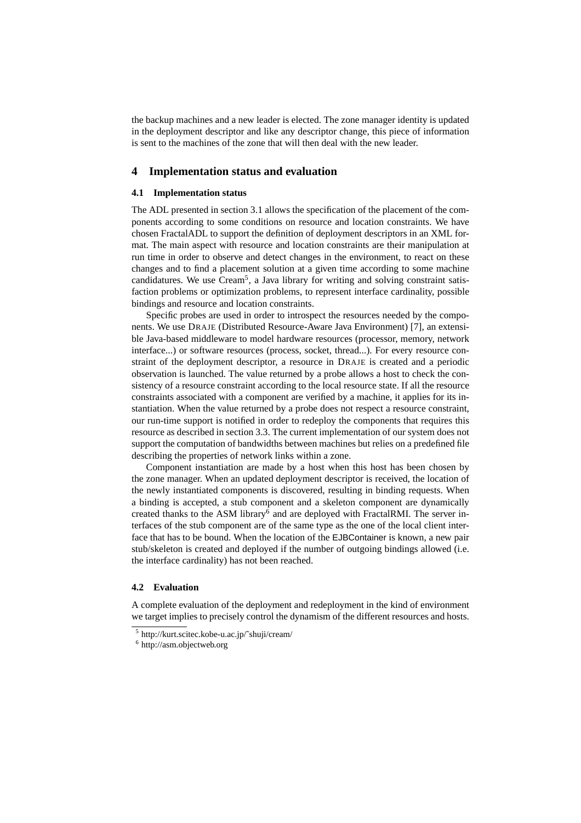the backup machines and a new leader is elected. The zone manager identity is updated in the deployment descriptor and like any descriptor change, this piece of information is sent to the machines of the zone that will then deal with the new leader.

# **4 Implementation status and evaluation**

#### **4.1 Implementation status**

The ADL presented in section 3.1 allows the specification of the placement of the components according to some conditions on resource and location constraints. We have chosen FractalADL to support the definition of deployment descriptors in an XML format. The main aspect with resource and location constraints are their manipulation at run time in order to observe and detect changes in the environment, to react on these changes and to find a placement solution at a given time according to some machine candidatures. We use Cream<sup>5</sup>, a Java library for writing and solving constraint satisfaction problems or optimization problems, to represent interface cardinality, possible bindings and resource and location constraints.

Specific probes are used in order to introspect the resources needed by the components. We use DRAJE (Distributed Resource-Aware Java Environment) [7], an extensible Java-based middleware to model hardware resources (processor, memory, network interface...) or software resources (process, socket, thread...). For every resource constraint of the deployment descriptor, a resource in DRAJE is created and a periodic observation is launched. The value returned by a probe allows a host to check the consistency of a resource constraint according to the local resource state. If all the resource constraints associated with a component are verified by a machine, it applies for its instantiation. When the value returned by a probe does not respect a resource constraint, our run-time support is notified in order to redeploy the components that requires this resource as described in section 3.3. The current implementation of our system does not support the computation of bandwidths between machines but relies on a predefined file describing the properties of network links within a zone.

Component instantiation are made by a host when this host has been chosen by the zone manager. When an updated deployment descriptor is received, the location of the newly instantiated components is discovered, resulting in binding requests. When a binding is accepted, a stub component and a skeleton component are dynamically created thanks to the ASM library<sup>6</sup> and are deployed with FractalRMI. The server interfaces of the stub component are of the same type as the one of the local client interface that has to be bound. When the location of the EJBContainer is known, a new pair stub/skeleton is created and deployed if the number of outgoing bindings allowed (i.e. the interface cardinality) has not been reached.

### **4.2 Evaluation**

A complete evaluation of the deployment and redeployment in the kind of environment we target implies to precisely control the dynamism of the different resources and hosts.

<sup>5</sup> http://kurt.scitec.kobe-u.ac.jp/˜shuji/cream/

<sup>6</sup> http://asm.objectweb.org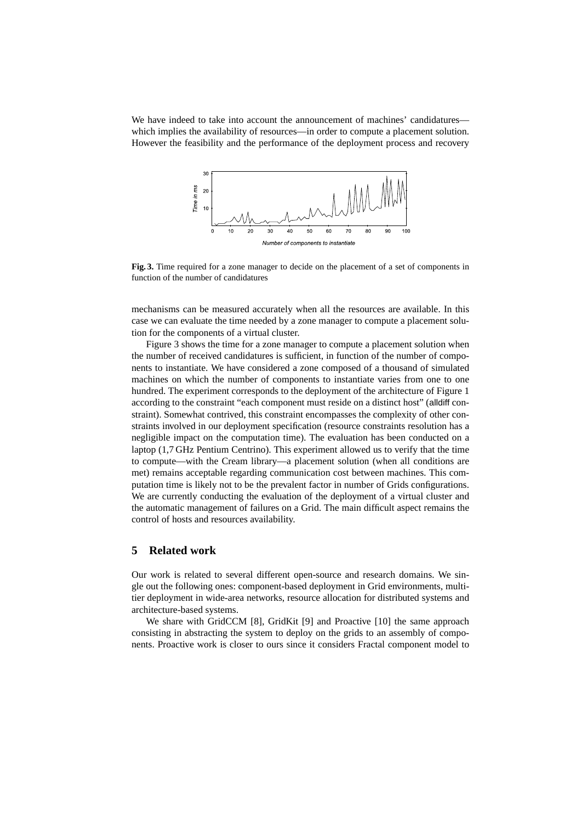We have indeed to take into account the announcement of machines' candidatures which implies the availability of resources—in order to compute a placement solution. However the feasibility and the performance of the deployment process and recovery



**Fig. 3.** Time required for a zone manager to decide on the placement of a set of components in function of the number of candidatures

mechanisms can be measured accurately when all the resources are available. In this case we can evaluate the time needed by a zone manager to compute a placement solution for the components of a virtual cluster.

Figure 3 shows the time for a zone manager to compute a placement solution when the number of received candidatures is sufficient, in function of the number of components to instantiate. We have considered a zone composed of a thousand of simulated machines on which the number of components to instantiate varies from one to one hundred. The experiment corresponds to the deployment of the architecture of Figure 1 according to the constraint "each component must reside on a distinct host" (alldiff constraint). Somewhat contrived, this constraint encompasses the complexity of other constraints involved in our deployment specification (resource constraints resolution has a negligible impact on the computation time). The evaluation has been conducted on a laptop (1,7 GHz Pentium Centrino). This experiment allowed us to verify that the time to compute—with the Cream library—a placement solution (when all conditions are met) remains acceptable regarding communication cost between machines. This computation time is likely not to be the prevalent factor in number of Grids configurations. We are currently conducting the evaluation of the deployment of a virtual cluster and the automatic management of failures on a Grid. The main difficult aspect remains the control of hosts and resources availability.

# **5 Related work**

Our work is related to several different open-source and research domains. We single out the following ones: component-based deployment in Grid environments, multitier deployment in wide-area networks, resource allocation for distributed systems and architecture-based systems.

We share with GridCCM [8], GridKit [9] and Proactive [10] the same approach consisting in abstracting the system to deploy on the grids to an assembly of components. Proactive work is closer to ours since it considers Fractal component model to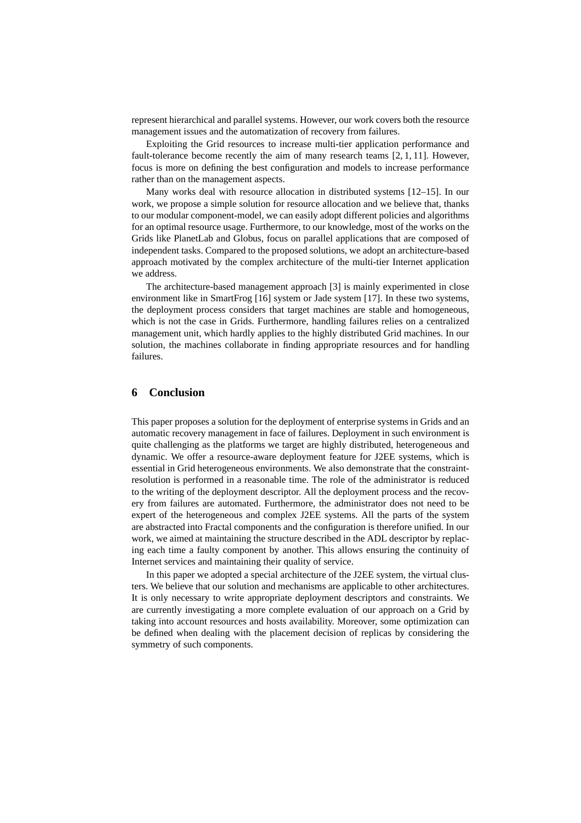represent hierarchical and parallel systems. However, our work covers both the resource management issues and the automatization of recovery from failures.

Exploiting the Grid resources to increase multi-tier application performance and fault-tolerance become recently the aim of many research teams [2, 1, 11]. However, focus is more on defining the best configuration and models to increase performance rather than on the management aspects.

Many works deal with resource allocation in distributed systems [12–15]. In our work, we propose a simple solution for resource allocation and we believe that, thanks to our modular component-model, we can easily adopt different policies and algorithms for an optimal resource usage. Furthermore, to our knowledge, most of the works on the Grids like PlanetLab and Globus, focus on parallel applications that are composed of independent tasks. Compared to the proposed solutions, we adopt an architecture-based approach motivated by the complex architecture of the multi-tier Internet application we address.

The architecture-based management approach [3] is mainly experimented in close environment like in SmartFrog [16] system or Jade system [17]. In these two systems, the deployment process considers that target machines are stable and homogeneous, which is not the case in Grids. Furthermore, handling failures relies on a centralized management unit, which hardly applies to the highly distributed Grid machines. In our solution, the machines collaborate in finding appropriate resources and for handling failures.

# **6 Conclusion**

This paper proposes a solution for the deployment of enterprise systems in Grids and an automatic recovery management in face of failures. Deployment in such environment is quite challenging as the platforms we target are highly distributed, heterogeneous and dynamic. We offer a resource-aware deployment feature for J2EE systems, which is essential in Grid heterogeneous environments. We also demonstrate that the constraintresolution is performed in a reasonable time. The role of the administrator is reduced to the writing of the deployment descriptor. All the deployment process and the recovery from failures are automated. Furthermore, the administrator does not need to be expert of the heterogeneous and complex J2EE systems. All the parts of the system are abstracted into Fractal components and the configuration is therefore unified. In our work, we aimed at maintaining the structure described in the ADL descriptor by replacing each time a faulty component by another. This allows ensuring the continuity of Internet services and maintaining their quality of service.

In this paper we adopted a special architecture of the J2EE system, the virtual clusters. We believe that our solution and mechanisms are applicable to other architectures. It is only necessary to write appropriate deployment descriptors and constraints. We are currently investigating a more complete evaluation of our approach on a Grid by taking into account resources and hosts availability. Moreover, some optimization can be defined when dealing with the placement decision of replicas by considering the symmetry of such components.